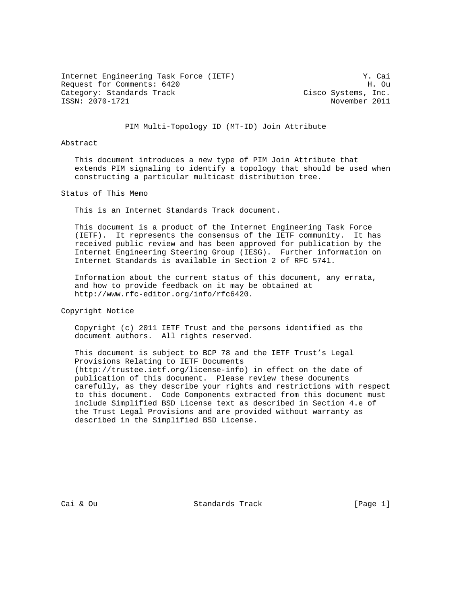Internet Engineering Task Force (IETF) Y. Cai Request for Comments: 6420 H. Ou Category: Standards Track Cisco Systems, Inc. ISSN: 2070-1721 November 2011

### PIM Multi-Topology ID (MT-ID) Join Attribute

# Abstract

 This document introduces a new type of PIM Join Attribute that extends PIM signaling to identify a topology that should be used when constructing a particular multicast distribution tree.

Status of This Memo

This is an Internet Standards Track document.

 This document is a product of the Internet Engineering Task Force (IETF). It represents the consensus of the IETF community. It has received public review and has been approved for publication by the Internet Engineering Steering Group (IESG). Further information on Internet Standards is available in Section 2 of RFC 5741.

 Information about the current status of this document, any errata, and how to provide feedback on it may be obtained at http://www.rfc-editor.org/info/rfc6420.

Copyright Notice

 Copyright (c) 2011 IETF Trust and the persons identified as the document authors. All rights reserved.

 This document is subject to BCP 78 and the IETF Trust's Legal Provisions Relating to IETF Documents (http://trustee.ietf.org/license-info) in effect on the date of publication of this document. Please review these documents carefully, as they describe your rights and restrictions with respect to this document. Code Components extracted from this document must include Simplified BSD License text as described in Section 4.e of the Trust Legal Provisions and are provided without warranty as described in the Simplified BSD License.

Cai & Ou Standards Track [Page 1]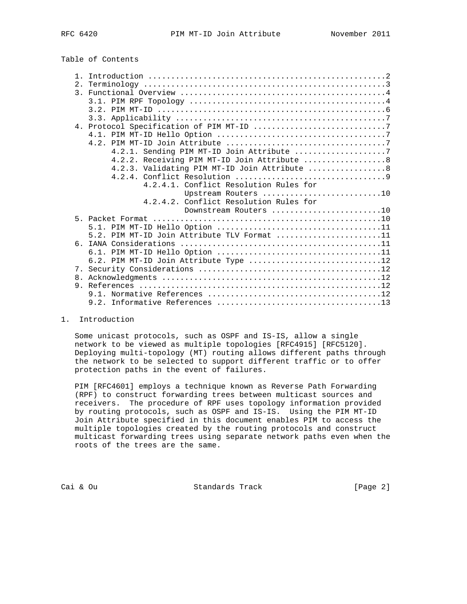# Table of Contents

|  | 4.2.1. Sending PIM MT-ID Join Attribute 7                                                              |
|--|--------------------------------------------------------------------------------------------------------|
|  |                                                                                                        |
|  | 4.2.2. Receiving PIM MT-ID Join Attribute  8                                                           |
|  | 4.2.3. Validating PIM MT-ID Join Attribute  8                                                          |
|  |                                                                                                        |
|  | 4.2.4.1. Conflict Resolution Rules for                                                                 |
|  | Upstream Routers 10                                                                                    |
|  | 4.2.4.2. Conflict Resolution Rules for                                                                 |
|  | Downstream Routers 10                                                                                  |
|  |                                                                                                        |
|  |                                                                                                        |
|  | 5.2. PIM MT-ID Join Attribute TLV Format 11                                                            |
|  |                                                                                                        |
|  |                                                                                                        |
|  | 6.2. PIM MT-ID Join Attribute Type $\ldots \ldots \ldots \ldots \ldots \ldots \ldots \ldots \ldots 12$ |
|  |                                                                                                        |
|  |                                                                                                        |
|  |                                                                                                        |
|  |                                                                                                        |
|  |                                                                                                        |

1. Introduction

 Some unicast protocols, such as OSPF and IS-IS, allow a single network to be viewed as multiple topologies [RFC4915] [RFC5120]. Deploying multi-topology (MT) routing allows different paths through the network to be selected to support different traffic or to offer protection paths in the event of failures.

 PIM [RFC4601] employs a technique known as Reverse Path Forwarding (RPF) to construct forwarding trees between multicast sources and receivers. The procedure of RPF uses topology information provided by routing protocols, such as OSPF and IS-IS. Using the PIM MT-ID Join Attribute specified in this document enables PIM to access the multiple topologies created by the routing protocols and construct multicast forwarding trees using separate network paths even when the roots of the trees are the same.

Cai & Ou Standards Track [Page 2]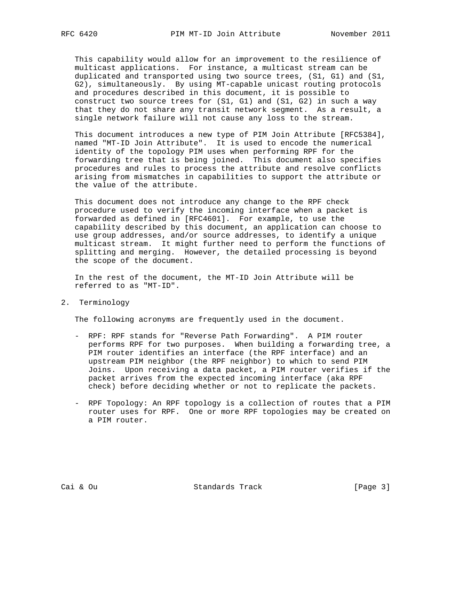This capability would allow for an improvement to the resilience of multicast applications. For instance, a multicast stream can be duplicated and transported using two source trees, (S1, G1) and (S1, G2), simultaneously. By using MT-capable unicast routing protocols and procedures described in this document, it is possible to construct two source trees for (S1, G1) and (S1, G2) in such a way that they do not share any transit network segment. As a result, a single network failure will not cause any loss to the stream.

 This document introduces a new type of PIM Join Attribute [RFC5384], named "MT-ID Join Attribute". It is used to encode the numerical identity of the topology PIM uses when performing RPF for the forwarding tree that is being joined. This document also specifies procedures and rules to process the attribute and resolve conflicts arising from mismatches in capabilities to support the attribute or the value of the attribute.

 This document does not introduce any change to the RPF check procedure used to verify the incoming interface when a packet is forwarded as defined in [RFC4601]. For example, to use the capability described by this document, an application can choose to use group addresses, and/or source addresses, to identify a unique multicast stream. It might further need to perform the functions of splitting and merging. However, the detailed processing is beyond the scope of the document.

 In the rest of the document, the MT-ID Join Attribute will be referred to as "MT-ID".

2. Terminology

The following acronyms are frequently used in the document.

- RPF: RPF stands for "Reverse Path Forwarding". A PIM router performs RPF for two purposes. When building a forwarding tree, a PIM router identifies an interface (the RPF interface) and an upstream PIM neighbor (the RPF neighbor) to which to send PIM Joins. Upon receiving a data packet, a PIM router verifies if the packet arrives from the expected incoming interface (aka RPF check) before deciding whether or not to replicate the packets.
- RPF Topology: An RPF topology is a collection of routes that a PIM router uses for RPF. One or more RPF topologies may be created on a PIM router.

Cai & Ou Standards Track [Page 3]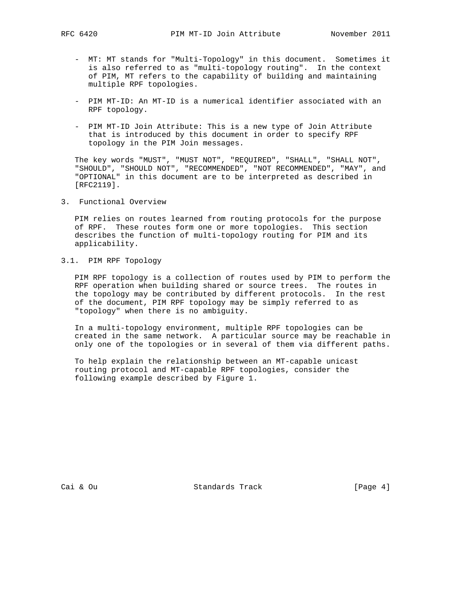- MT: MT stands for "Multi-Topology" in this document. Sometimes it is also referred to as "multi-topology routing". In the context of PIM, MT refers to the capability of building and maintaining multiple RPF topologies.
- PIM MT-ID: An MT-ID is a numerical identifier associated with an RPF topology.
- PIM MT-ID Join Attribute: This is a new type of Join Attribute that is introduced by this document in order to specify RPF topology in the PIM Join messages.

 The key words "MUST", "MUST NOT", "REQUIRED", "SHALL", "SHALL NOT", "SHOULD", "SHOULD NOT", "RECOMMENDED", "NOT RECOMMENDED", "MAY", and "OPTIONAL" in this document are to be interpreted as described in [RFC2119].

3. Functional Overview

 PIM relies on routes learned from routing protocols for the purpose of RPF. These routes form one or more topologies. This section describes the function of multi-topology routing for PIM and its applicability.

3.1. PIM RPF Topology

 PIM RPF topology is a collection of routes used by PIM to perform the RPF operation when building shared or source trees. The routes in the topology may be contributed by different protocols. In the rest of the document, PIM RPF topology may be simply referred to as "topology" when there is no ambiguity.

 In a multi-topology environment, multiple RPF topologies can be created in the same network. A particular source may be reachable in only one of the topologies or in several of them via different paths.

 To help explain the relationship between an MT-capable unicast routing protocol and MT-capable RPF topologies, consider the following example described by Figure 1.

Cai & Ou Standards Track [Page 4]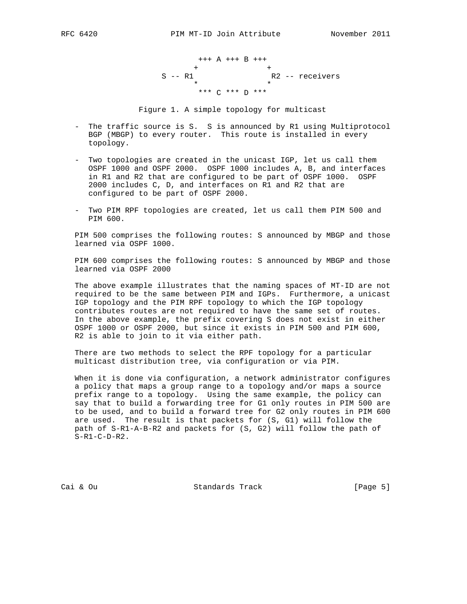+++ A +++ B +++  $+$  +  $+$  +  $+$  +  $+$  +  $+$  +  $+$  +  $+$  +  $+$  +  $+$  +  $+$  +  $+$  +  $+$  +  $+$  +  $+$  +  $+$  +  $+$  +  $+$  +  $+$  +  $+$  +  $+$  +  $+$  +  $+$  +  $+$  +  $+$  +  $+$  +  $+$  +  $+$  +  $+$  +  $+$  +  $+$  +  $+$  +  $+$  +  $+$  +  $+$  +  $+$  +  $+$  +  $+$  + S -- R1 R2 -- receivers  $\star$  \* \* \*\*\* C \*\*\* D \*\*\*

Figure 1. A simple topology for multicast

- The traffic source is S. S is announced by R1 using Multiprotocol BGP (MBGP) to every router. This route is installed in every topology.
- Two topologies are created in the unicast IGP, let us call them OSPF 1000 and OSPF 2000. OSPF 1000 includes A, B, and interfaces in R1 and R2 that are configured to be part of OSPF 1000. OSPF 2000 includes C, D, and interfaces on R1 and R2 that are configured to be part of OSPF 2000.
- Two PIM RPF topologies are created, let us call them PIM 500 and PIM 600.

 PIM 500 comprises the following routes: S announced by MBGP and those learned via OSPF 1000.

 PIM 600 comprises the following routes: S announced by MBGP and those learned via OSPF 2000

 The above example illustrates that the naming spaces of MT-ID are not required to be the same between PIM and IGPs. Furthermore, a unicast IGP topology and the PIM RPF topology to which the IGP topology contributes routes are not required to have the same set of routes. In the above example, the prefix covering S does not exist in either OSPF 1000 or OSPF 2000, but since it exists in PIM 500 and PIM 600, R2 is able to join to it via either path.

 There are two methods to select the RPF topology for a particular multicast distribution tree, via configuration or via PIM.

 When it is done via configuration, a network administrator configures a policy that maps a group range to a topology and/or maps a source prefix range to a topology. Using the same example, the policy can say that to build a forwarding tree for G1 only routes in PIM 500 are to be used, and to build a forward tree for G2 only routes in PIM 600 are used. The result is that packets for (S, G1) will follow the path of S-R1-A-B-R2 and packets for (S, G2) will follow the path of S-R1-C-D-R2.

Cai & Ou Standards Track [Page 5]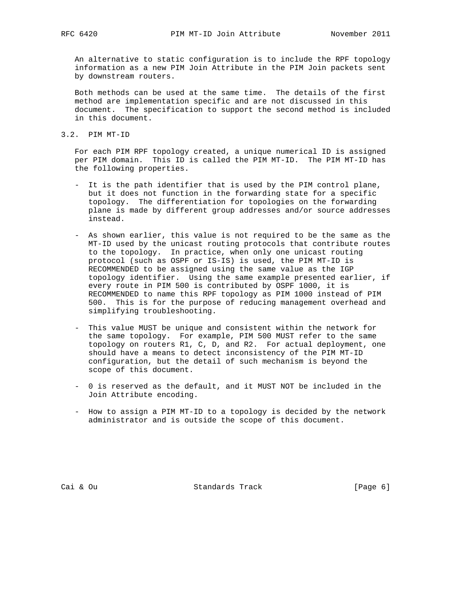An alternative to static configuration is to include the RPF topology information as a new PIM Join Attribute in the PIM Join packets sent by downstream routers.

 Both methods can be used at the same time. The details of the first method are implementation specific and are not discussed in this document. The specification to support the second method is included in this document.

3.2. PIM MT-ID

 For each PIM RPF topology created, a unique numerical ID is assigned per PIM domain. This ID is called the PIM MT-ID. The PIM MT-ID has the following properties.

- It is the path identifier that is used by the PIM control plane, but it does not function in the forwarding state for a specific topology. The differentiation for topologies on the forwarding plane is made by different group addresses and/or source addresses instead.
- As shown earlier, this value is not required to be the same as the MT-ID used by the unicast routing protocols that contribute routes to the topology. In practice, when only one unicast routing protocol (such as OSPF or IS-IS) is used, the PIM MT-ID is RECOMMENDED to be assigned using the same value as the IGP topology identifier. Using the same example presented earlier, if every route in PIM 500 is contributed by OSPF 1000, it is RECOMMENDED to name this RPF topology as PIM 1000 instead of PIM 500. This is for the purpose of reducing management overhead and simplifying troubleshooting.
- This value MUST be unique and consistent within the network for the same topology. For example, PIM 500 MUST refer to the same topology on routers R1, C, D, and R2. For actual deployment, one should have a means to detect inconsistency of the PIM MT-ID configuration, but the detail of such mechanism is beyond the scope of this document.
- 0 is reserved as the default, and it MUST NOT be included in the Join Attribute encoding.
- How to assign a PIM MT-ID to a topology is decided by the network administrator and is outside the scope of this document.

Cai & Ou Standards Track [Page 6]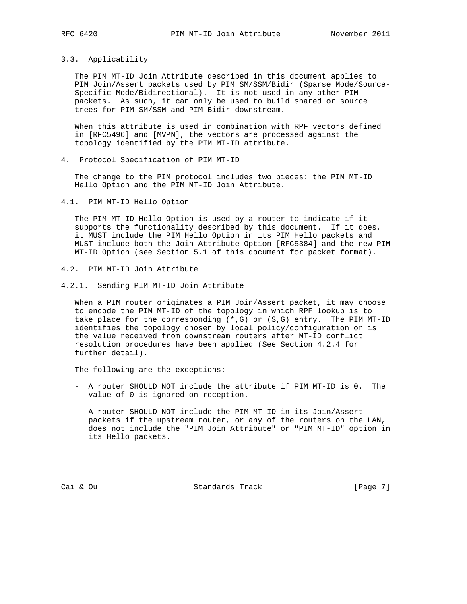#### 3.3. Applicability

 The PIM MT-ID Join Attribute described in this document applies to PIM Join/Assert packets used by PIM SM/SSM/Bidir (Sparse Mode/Source- Specific Mode/Bidirectional). It is not used in any other PIM packets. As such, it can only be used to build shared or source trees for PIM SM/SSM and PIM-Bidir downstream.

 When this attribute is used in combination with RPF vectors defined in [RFC5496] and [MVPN], the vectors are processed against the topology identified by the PIM MT-ID attribute.

4. Protocol Specification of PIM MT-ID

 The change to the PIM protocol includes two pieces: the PIM MT-ID Hello Option and the PIM MT-ID Join Attribute.

4.1. PIM MT-ID Hello Option

 The PIM MT-ID Hello Option is used by a router to indicate if it supports the functionality described by this document. If it does, it MUST include the PIM Hello Option in its PIM Hello packets and MUST include both the Join Attribute Option [RFC5384] and the new PIM MT-ID Option (see Section 5.1 of this document for packet format).

- 4.2. PIM MT-ID Join Attribute
- 4.2.1. Sending PIM MT-ID Join Attribute

 When a PIM router originates a PIM Join/Assert packet, it may choose to encode the PIM MT-ID of the topology in which RPF lookup is to take place for the corresponding  $(*,G)$  or  $(S,G)$  entry. The PIM MT-ID identifies the topology chosen by local policy/configuration or is the value received from downstream routers after MT-ID conflict resolution procedures have been applied (See Section 4.2.4 for further detail).

The following are the exceptions:

- A router SHOULD NOT include the attribute if PIM MT-ID is 0. The value of 0 is ignored on reception.
- A router SHOULD NOT include the PIM MT-ID in its Join/Assert packets if the upstream router, or any of the routers on the LAN, does not include the "PIM Join Attribute" or "PIM MT-ID" option in its Hello packets.

Cai & Ou Standards Track [Page 7]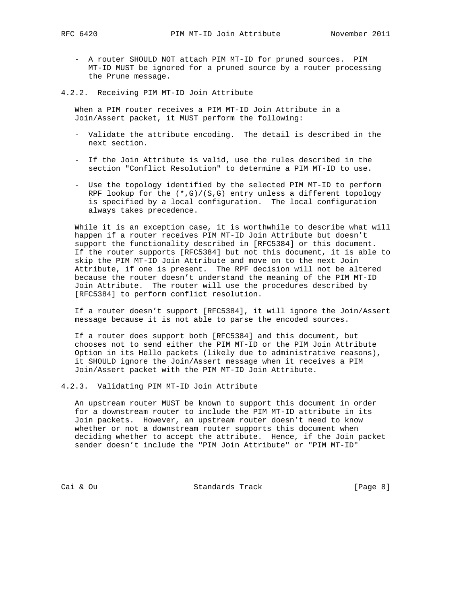- A router SHOULD NOT attach PIM MT-ID for pruned sources. PIM MT-ID MUST be ignored for a pruned source by a router processing the Prune message.
- 4.2.2. Receiving PIM MT-ID Join Attribute

 When a PIM router receives a PIM MT-ID Join Attribute in a Join/Assert packet, it MUST perform the following:

- Validate the attribute encoding. The detail is described in the next section.
- If the Join Attribute is valid, use the rules described in the section "Conflict Resolution" to determine a PIM MT-ID to use.
- Use the topology identified by the selected PIM MT-ID to perform RPF lookup for the  $(*,G)/(S,G)$  entry unless a different topology is specified by a local configuration. The local configuration always takes precedence.

 While it is an exception case, it is worthwhile to describe what will happen if a router receives PIM MT-ID Join Attribute but doesn't support the functionality described in [RFC5384] or this document. If the router supports [RFC5384] but not this document, it is able to skip the PIM MT-ID Join Attribute and move on to the next Join Attribute, if one is present. The RPF decision will not be altered because the router doesn't understand the meaning of the PIM MT-ID Join Attribute. The router will use the procedures described by [RFC5384] to perform conflict resolution.

 If a router doesn't support [RFC5384], it will ignore the Join/Assert message because it is not able to parse the encoded sources.

 If a router does support both [RFC5384] and this document, but chooses not to send either the PIM MT-ID or the PIM Join Attribute Option in its Hello packets (likely due to administrative reasons), it SHOULD ignore the Join/Assert message when it receives a PIM Join/Assert packet with the PIM MT-ID Join Attribute.

4.2.3. Validating PIM MT-ID Join Attribute

 An upstream router MUST be known to support this document in order for a downstream router to include the PIM MT-ID attribute in its Join packets. However, an upstream router doesn't need to know whether or not a downstream router supports this document when deciding whether to accept the attribute. Hence, if the Join packet sender doesn't include the "PIM Join Attribute" or "PIM MT-ID"

Cai & Ou Standards Track [Page 8]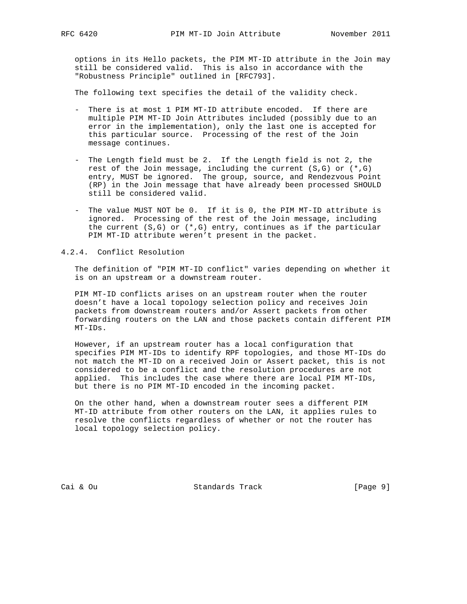options in its Hello packets, the PIM MT-ID attribute in the Join may still be considered valid. This is also in accordance with the "Robustness Principle" outlined in [RFC793].

The following text specifies the detail of the validity check.

- There is at most 1 PIM MT-ID attribute encoded. If there are multiple PIM MT-ID Join Attributes included (possibly due to an error in the implementation), only the last one is accepted for this particular source. Processing of the rest of the Join message continues.
- The Length field must be 2. If the Length field is not 2, the rest of the Join message, including the current (S,G) or (\*,G) entry, MUST be ignored. The group, source, and Rendezvous Point (RP) in the Join message that have already been processed SHOULD still be considered valid.
	- The value MUST NOT be 0. If it is 0, the PIM MT-ID attribute is ignored. Processing of the rest of the Join message, including the current  $(S,G)$  or  $(*,G)$  entry, continues as if the particular PIM MT-ID attribute weren't present in the packet.

## 4.2.4. Conflict Resolution

 The definition of "PIM MT-ID conflict" varies depending on whether it is on an upstream or a downstream router.

 PIM MT-ID conflicts arises on an upstream router when the router doesn't have a local topology selection policy and receives Join packets from downstream routers and/or Assert packets from other forwarding routers on the LAN and those packets contain different PIM MT-IDs.

 However, if an upstream router has a local configuration that specifies PIM MT-IDs to identify RPF topologies, and those MT-IDs do not match the MT-ID on a received Join or Assert packet, this is not considered to be a conflict and the resolution procedures are not applied. This includes the case where there are local PIM MT-IDs, but there is no PIM MT-ID encoded in the incoming packet.

 On the other hand, when a downstream router sees a different PIM MT-ID attribute from other routers on the LAN, it applies rules to resolve the conflicts regardless of whether or not the router has local topology selection policy.

Cai & Ou Standards Track [Page 9]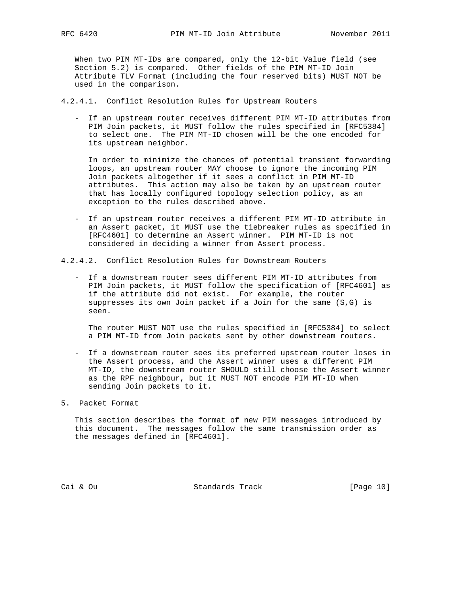When two PIM MT-IDs are compared, only the 12-bit Value field (see Section 5.2) is compared. Other fields of the PIM MT-ID Join Attribute TLV Format (including the four reserved bits) MUST NOT be used in the comparison.

4.2.4.1. Conflict Resolution Rules for Upstream Routers

 - If an upstream router receives different PIM MT-ID attributes from PIM Join packets, it MUST follow the rules specified in [RFC5384] to select one. The PIM MT-ID chosen will be the one encoded for its upstream neighbor.

 In order to minimize the chances of potential transient forwarding loops, an upstream router MAY choose to ignore the incoming PIM Join packets altogether if it sees a conflict in PIM MT-ID attributes. This action may also be taken by an upstream router that has locally configured topology selection policy, as an exception to the rules described above.

 - If an upstream router receives a different PIM MT-ID attribute in an Assert packet, it MUST use the tiebreaker rules as specified in [RFC4601] to determine an Assert winner. PIM MT-ID is not considered in deciding a winner from Assert process.

4.2.4.2. Conflict Resolution Rules for Downstream Routers

 - If a downstream router sees different PIM MT-ID attributes from PIM Join packets, it MUST follow the specification of [RFC4601] as if the attribute did not exist. For example, the router suppresses its own Join packet if a Join for the same (S,G) is seen.

 The router MUST NOT use the rules specified in [RFC5384] to select a PIM MT-ID from Join packets sent by other downstream routers.

- If a downstream router sees its preferred upstream router loses in the Assert process, and the Assert winner uses a different PIM MT-ID, the downstream router SHOULD still choose the Assert winner as the RPF neighbour, but it MUST NOT encode PIM MT-ID when sending Join packets to it.
- 5. Packet Format

 This section describes the format of new PIM messages introduced by this document. The messages follow the same transmission order as the messages defined in [RFC4601].

Cai & Ou Standards Track [Page 10]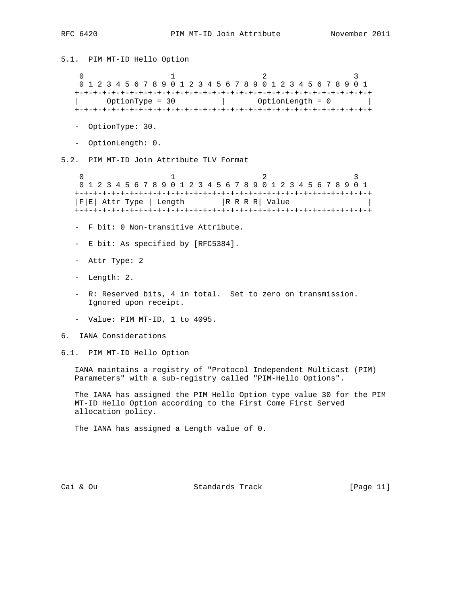5.1. PIM MT-ID Hello Option 0  $1$  2 3 0 1 2 3 4 5 6 7 8 9 0 1 2 3 4 5 6 7 8 9 0 1 2 3 4 5 6 7 8 9 0 1 +-+-+-+-+-+-+-+-+-+-+-+-+-+-+-+-+-+-+-+-+-+-+-+-+-+-+-+-+-+-+-+-+ | OptionType = 30 | OptionLength = 0 | +-+-+-+-+-+-+-+-+-+-+-+-+-+-+-+-+-+-+-+-+-+-+-+-+-+-+-+-+-+-+-+-+ - OptionType: 30. - OptionLength: 0. 5.2. PIM MT-ID Join Attribute TLV Format 0  $1$  2 3 0 1 2 3 4 5 6 7 8 9 0 1 2 3 4 5 6 7 8 9 0 1 2 3 4 5 6 7 8 9 0 1 +-+-+-+-+-+-+-+-+-+-+-+-+-+-+-+-+-+-+-+-+-+-+-+-+-+-+-+-+-+-+-+-+  $|F|E|$  Attr Type | Length  $|R R R R|$  Value +-+-+-+-+-+-+-+-+-+-+-+-+-+-+-+-+-+-+-+-+-+-+-+-+-+-+-+-+-+-+-+-+ - F bit: 0 Non-transitive Attribute. - E bit: As specified by [RFC5384]. - Attr Type: 2 - Length: 2. - R: Reserved bits, 4 in total. Set to zero on transmission. Ignored upon receipt. - Value: PIM MT-ID, 1 to 4095. 6. IANA Considerations 6.1. PIM MT-ID Hello Option IANA maintains a registry of "Protocol Independent Multicast (PIM) Parameters" with a sub-registry called "PIM-Hello Options". The IANA has assigned the PIM Hello Option type value 30 for the PIM MT-ID Hello Option according to the First Come First Served allocation policy.

The IANA has assigned a Length value of 0.

Cai & Ou Standards Track [Page 11]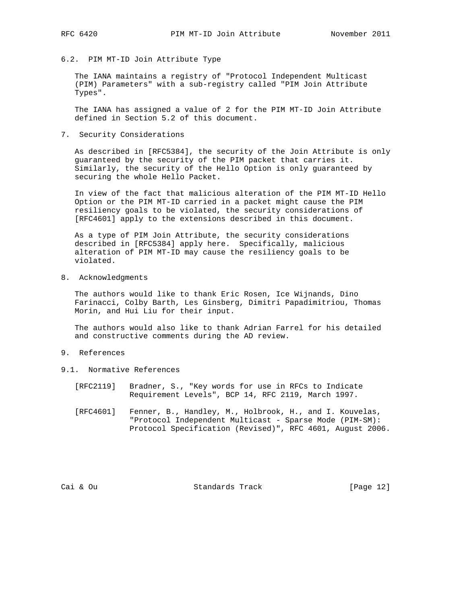6.2. PIM MT-ID Join Attribute Type

 The IANA maintains a registry of "Protocol Independent Multicast (PIM) Parameters" with a sub-registry called "PIM Join Attribute Types".

 The IANA has assigned a value of 2 for the PIM MT-ID Join Attribute defined in Section 5.2 of this document.

7. Security Considerations

 As described in [RFC5384], the security of the Join Attribute is only guaranteed by the security of the PIM packet that carries it. Similarly, the security of the Hello Option is only guaranteed by securing the whole Hello Packet.

 In view of the fact that malicious alteration of the PIM MT-ID Hello Option or the PIM MT-ID carried in a packet might cause the PIM resiliency goals to be violated, the security considerations of [RFC4601] apply to the extensions described in this document.

 As a type of PIM Join Attribute, the security considerations described in [RFC5384] apply here. Specifically, malicious alteration of PIM MT-ID may cause the resiliency goals to be violated.

8. Acknowledgments

 The authors would like to thank Eric Rosen, Ice Wijnands, Dino Farinacci, Colby Barth, Les Ginsberg, Dimitri Papadimitriou, Thomas Morin, and Hui Liu for their input.

 The authors would also like to thank Adrian Farrel for his detailed and constructive comments during the AD review.

- 9. References
- 9.1. Normative References
	- [RFC2119] Bradner, S., "Key words for use in RFCs to Indicate Requirement Levels", BCP 14, RFC 2119, March 1997.
	- [RFC4601] Fenner, B., Handley, M., Holbrook, H., and I. Kouvelas, "Protocol Independent Multicast - Sparse Mode (PIM-SM): Protocol Specification (Revised)", RFC 4601, August 2006.

Cai & Ou Standards Track [Page 12]